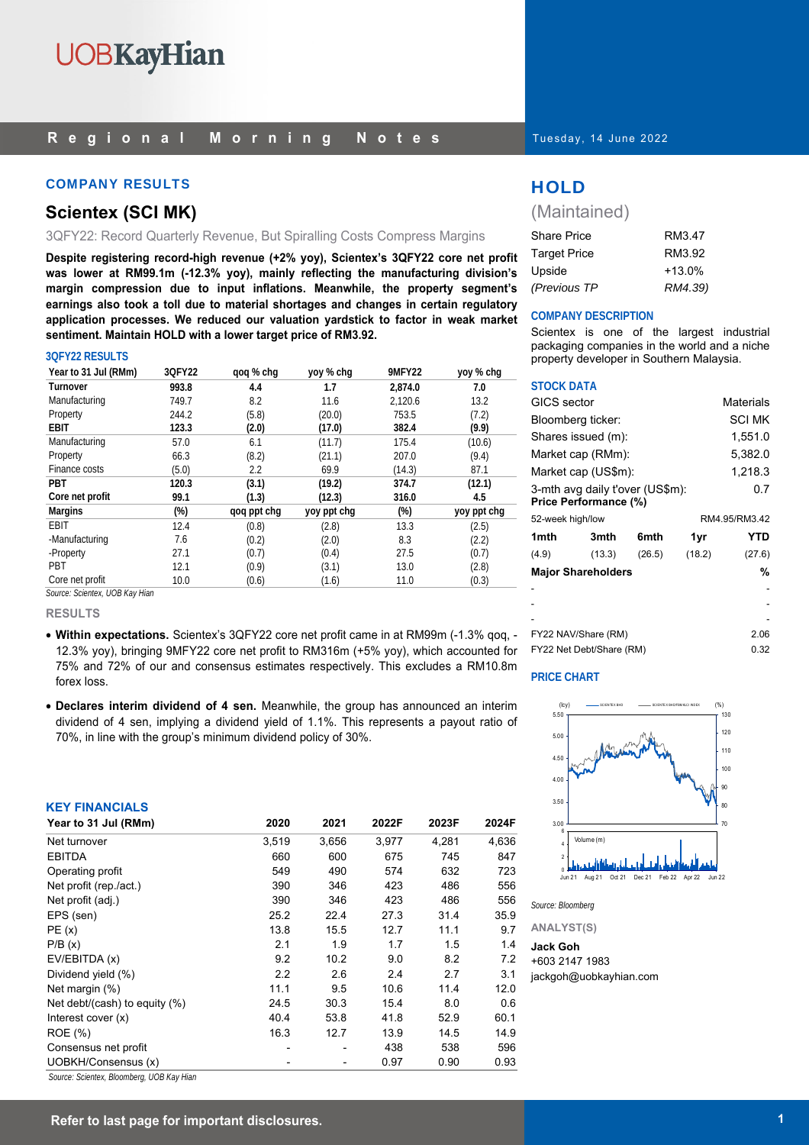#### **Regional Morning Notes**

#### COMPANY RESULTS AND RESULTS THAT IS A RESULT OF THE RESULTS OF THE RESULTS OF THE RESULTS

### **Scientex (SCI MK)**

3QFY22: Record Quarterly Revenue, But Spiralling Costs Compress Margins

**Despite registering record-high revenue (+2% yoy), Scientex's 3QFY22 core net profit was lower at RM99.1m (-12.3% yoy), mainly reflecting the manufacturing division's margin compression due to input inflations. Meanwhile, the property segment's earnings also took a toll due to material shortages and changes in certain regulatory application processes. We reduced our valuation yardstick to factor in weak market sentiment. Maintain HOLD with a lower target price of RM3.92.** 

#### **3QFY22 RESULTS**

| Year to 31 Jul (RMm)           | 3QFY22 | gog % chg   | yoy % chg   | <b>9MFY22</b> | yoy % chg   |
|--------------------------------|--------|-------------|-------------|---------------|-------------|
| Turnover                       | 993.8  | 4.4         | 1.7         | 2.874.0       | 7.0         |
| Manufacturing                  | 749.7  | 8.2         | 11.6        | 2,120.6       | 13.2        |
| Property                       | 244.2  | (5.8)       | (20.0)      | 753.5         | (7.2)       |
| <b>EBIT</b>                    | 123.3  | (2.0)       | (17.0)      | 382.4         | (9.9)       |
| Manufacturing                  | 57.0   | 6.1         | (11.7)      | 175.4         | (10.6)      |
| Property                       | 66.3   | (8.2)       | (21.1)      | 207.0         | (9.4)       |
| Finance costs                  | (5.0)  | 2.2         | 69.9        | (14.3)        | 87.1        |
| <b>PBT</b>                     | 120.3  | (3.1)       | (19.2)      | 374.7         | (12.1)      |
| Core net profit                | 99.1   | (1.3)       | (12.3)      | 316.0         | 4.5         |
| <b>Margins</b>                 | (%)    | qoq ppt chg | yoy ppt chg | $(\%)$        | yoy ppt chg |
| EBIT                           | 12.4   | (0.8)       | (2.8)       | 13.3          | (2.5)       |
| -Manufacturing                 | 7.6    | (0.2)       | (2.0)       | 8.3           | (2.2)       |
| -Property                      | 27.1   | (0.7)       | (0.4)       | 27.5          | (0.7)       |
| PBT                            | 12.1   | (0.9)       | (3.1)       | 13.0          | (2.8)       |
| Core net profit                | 10.0   | (0.6)       | (1.6)       | 11.0          | (0.3)       |
| Source: Scientex, UOB Kay Hian |        |             |             |               |             |

**RESULTS** 

- **Within expectations.** Scientex's 3QFY22 core net profit came in at RM99m (-1.3% qoq, 12.3% yoy), bringing 9MFY22 core net profit to RM316m (+5% yoy), which accounted for 75% and 72% of our and consensus estimates respectively. This excludes a RM10.8m forex loss.
- **Declares interim dividend of 4 sen.** Meanwhile, the group has announced an interim dividend of 4 sen, implying a dividend yield of 1.1%. This represents a payout ratio of 70%, in line with the group's minimum dividend policy of 30%.

#### **KEY FINANCIALS**

| Year to 31 Jul (RMm)             | 2020  | 2021  | 2022F | 2023F | 2024F |
|----------------------------------|-------|-------|-------|-------|-------|
| Net turnover                     | 3,519 | 3,656 | 3,977 | 4,281 | 4,636 |
| <b>EBITDA</b>                    | 660   | 600   | 675   | 745   | 847   |
| Operating profit                 | 549   | 490   | 574   | 632   | 723   |
| Net profit (rep./act.)           | 390   | 346   | 423   | 486   | 556   |
| Net profit (adj.)                | 390   | 346   | 423   | 486   | 556   |
| EPS (sen)                        | 25.2  | 22.4  | 27.3  | 31.4  | 35.9  |
| PE(x)                            | 13.8  | 15.5  | 12.7  | 11.1  | 9.7   |
| P/B(x)                           | 2.1   | 1.9   | 1.7   | 1.5   | 1.4   |
| EV/EBITDA (x)                    | 9.2   | 10.2  | 9.0   | 8.2   | 7.2   |
| Dividend yield (%)               | 2.2   | 2.6   | 2.4   | 2.7   | 3.1   |
| Net margin (%)                   | 11.1  | 9.5   | 10.6  | 11.4  | 12.0  |
| Net debt/(cash) to equity $(\%)$ | 24.5  | 30.3  | 15.4  | 8.0   | 0.6   |
| Interest cover $(x)$             | 40.4  | 53.8  | 41.8  | 52.9  | 60.1  |
| ROE (%)                          | 16.3  | 12.7  | 13.9  | 14.5  | 14.9  |
| Consensus net profit             |       |       | 438   | 538   | 596   |
| UOBKH/Consensus (x)              |       |       | 0.97  | 0.90  | 0.93  |

*Source: Scientex, Bloomberg, UOB Kay Hian* 

(Maintained)

| <b>Share Price</b>  | RM3.47   |
|---------------------|----------|
| <b>Target Price</b> | RM3.92   |
| Upside              | $+13.0%$ |
| (Previous TP        | RM4.39)  |

#### **COMPANY DESCRIPTION**

Scientex is one of the largest industrial packaging companies in the world and a niche property developer in Southern Malaysia.

#### **STOCK DATA**

| <b>GICS</b> sector |                                                                 |                  |        | Materials     |
|--------------------|-----------------------------------------------------------------|------------------|--------|---------------|
| Bloomberg ticker:  |                                                                 |                  |        | <b>SCI MK</b> |
|                    | Shares issued (m):                                              |                  |        | 1,551.0       |
|                    | Market cap (RMm):                                               |                  |        | 5,382.0       |
|                    | Market cap (US\$m):                                             |                  |        | 1,218.3       |
|                    | 3-mth avg daily t'over (US\$m):<br><b>Price Performance (%)</b> |                  |        | 0.7           |
| 52-week high/low   |                                                                 |                  |        | RM4.95/RM3.42 |
|                    |                                                                 |                  |        |               |
| 1 <sub>mth</sub>   | 3mth                                                            | 6 <sub>mth</sub> | 1yr    | YTD           |
| (4.9)              | (13.3)                                                          | (26.5)           | (18.2) | (27.6)        |
|                    | <b>Major Shareholders</b>                                       |                  |        | %             |
|                    |                                                                 |                  |        |               |
|                    |                                                                 |                  |        |               |
|                    |                                                                 |                  |        |               |
|                    | FY22 NAV/Share (RM)                                             |                  |        | 2.06          |

#### **PRICE CHART**



*Source: Bloomberg* 

**ANALYST(S)**

#### **Jack Goh**

+603 2147 1983

jackgoh@uobkayhian.com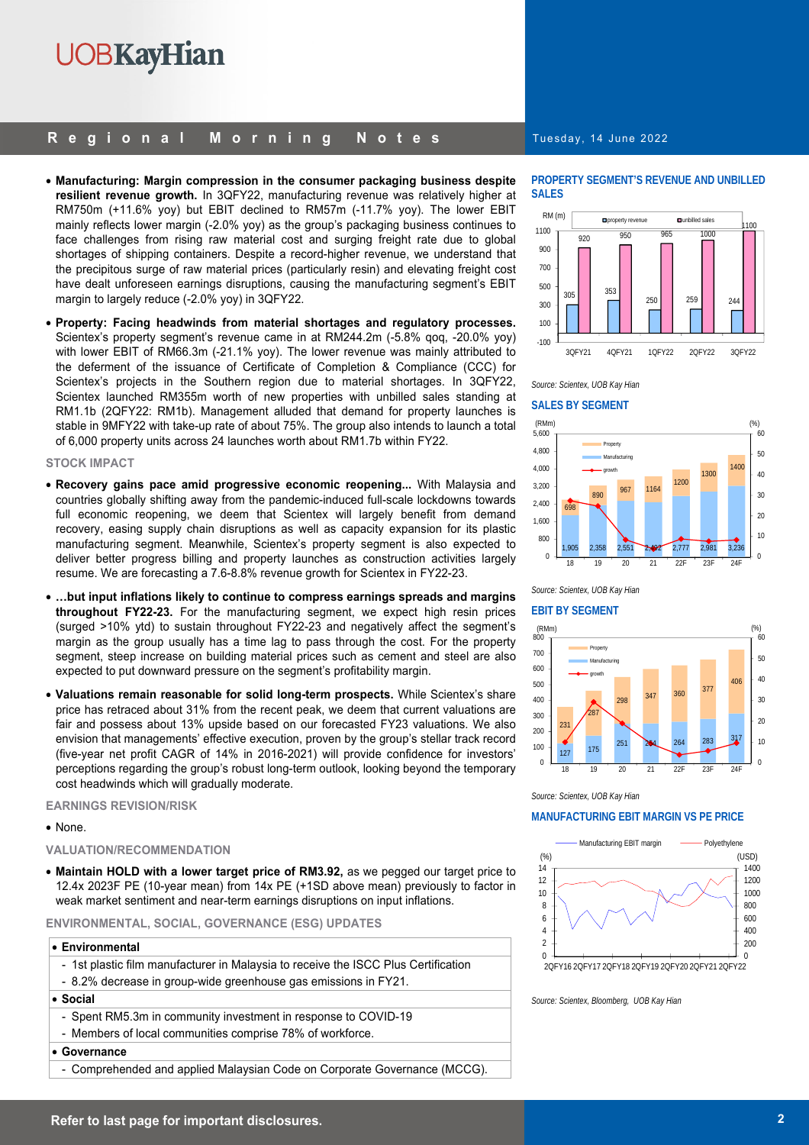## **UOBKayHian**

#### **Regional Morning Notes**

- **Manufacturing: Margin compression in the consumer packaging business despite resilient revenue growth.** In 3QFY22, manufacturing revenue was relatively higher at RM750m (+11.6% yoy) but EBIT declined to RM57m (-11.7% yoy). The lower EBIT mainly reflects lower margin (-2.0% yoy) as the group's packaging business continues to face challenges from rising raw material cost and surging freight rate due to global shortages of shipping containers. Despite a record-higher revenue, we understand that the precipitous surge of raw material prices (particularly resin) and elevating freight cost have dealt unforeseen earnings disruptions, causing the manufacturing segment's EBIT margin to largely reduce (-2.0% yoy) in 3QFY22.
- **Property: Facing headwinds from material shortages and regulatory processes.**  Scientex's property segment's revenue came in at RM244.2m (-5.8% qoq, -20.0% yoy) with lower EBIT of RM66.3m (-21.1% yoy). The lower revenue was mainly attributed to the deferment of the issuance of Certificate of Completion & Compliance (CCC) for Scientex's projects in the Southern region due to material shortages. In 3QFY22, Scientex launched RM355m worth of new properties with unbilled sales standing at RM1.1b (2QFY22: RM1b). Management alluded that demand for property launches is stable in 9MFY22 with take-up rate of about 75%. The group also intends to launch a total of 6,000 property units across 24 launches worth about RM1.7b within FY22.

#### **STOCK IMPACT**

- **Recovery gains pace amid progressive economic reopening...** With Malaysia and countries globally shifting away from the pandemic-induced full-scale lockdowns towards full economic reopening, we deem that Scientex will largely benefit from demand recovery, easing supply chain disruptions as well as capacity expansion for its plastic manufacturing segment. Meanwhile, Scientex's property segment is also expected to deliver better progress billing and property launches as construction activities largely resume. We are forecasting a 7.6-8.8% revenue growth for Scientex in FY22-23.
- **…but input inflations likely to continue to compress earnings spreads and margins throughout FY22-23.** For the manufacturing segment, we expect high resin prices (surged >10% ytd) to sustain throughout FY22-23 and negatively affect the segment's margin as the group usually has a time lag to pass through the cost. For the property segment, steep increase on building material prices such as cement and steel are also expected to put downward pressure on the segment's profitability margin.
- **Valuations remain reasonable for solid long-term prospects.** While Scientex's share price has retraced about 31% from the recent peak, we deem that current valuations are fair and possess about 13% upside based on our forecasted FY23 valuations. We also envision that managements' effective execution, proven by the group's stellar track record (five-year net profit CAGR of 14% in 2016-2021) will provide confidence for investors' perceptions regarding the group's robust long-term outlook, looking beyond the temporary cost headwinds which will gradually moderate.

#### **EARNINGS REVISION/RISK**

#### • None.

#### **VALUATION/RECOMMENDATION**

• **Maintain HOLD with a lower target price of RM3.92,** as we pegged our target price to 12.4x 2023F PE (10-year mean) from 14x PE (+1SD above mean) previously to factor in weak market sentiment and near-term earnings disruptions on input inflations.

#### **ENVIRONMENTAL, SOCIAL, GOVERNANCE (ESG) UPDATES**

#### • **Environmental**

- 1st plastic film manufacturer in Malaysia to receive the ISCC Plus Certification
- 8.2% decrease in group-wide greenhouse gas emissions in FY21.

#### • **Social**

- Spent RM5.3m in community investment in response to COVID-19
- Members of local communities comprise 78% of workforce.

#### • **Governance**

- Comprehended and applied Malaysian Code on Corporate Governance (MCCG).

#### Tuesday, 14 June 2022

#### **PROPERTY SEGMENT'S REVENUE AND UNBILLED SALES**





#### **SALES BY SEGMENT**



*Source: Scientex, UOB Kay Hian* 

#### **EBIT BY SEGMENT**



*Source: Scientex, UOB Kay Hian* 

#### **MANUFACTURING EBIT MARGIN VS PE PRICE**



*Source: Scientex, Bloomberg, UOB Kay Hian*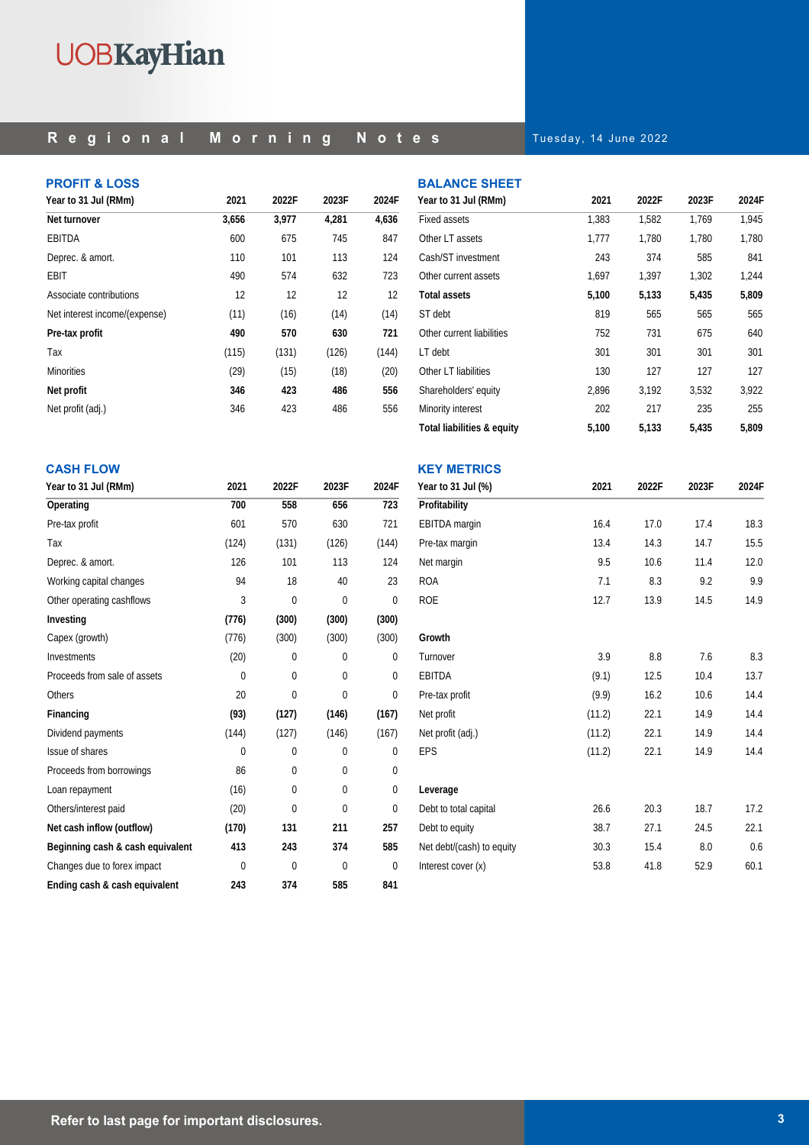# **UOBKayHian**

### **Regional Morning Notes**

Tuesday, 14 June 2022

**BALANCE SHEET** 

| <b>PROFIT &amp; LOSS</b>      |       |       |       |       |
|-------------------------------|-------|-------|-------|-------|
| Year to 31 Jul (RMm)          | 2021  | 2022F | 2023F | 2024F |
| Net turnover                  | 3,656 | 3,977 | 4,281 | 4,636 |
| EBITDA                        | 600   | 675   | 745   | 847   |
| Deprec. & amort.              | 110   | 101   | 113   | 124   |
| EBIT                          | 490   | 574   | 632   | 723   |
| Associate contributions       | 12    | 12    | 12    | 12    |
| Net interest income/(expense) | (11)  | (16)  | (14)  | (14)  |
| Pre-tax profit                | 490   | 570   | 630   | 721   |
| Tax                           | (115) | (131) | (126) | (144) |
| <b>Minorities</b>             | (29)  | (15)  | (18)  | (20)  |
| Net profit                    | 346   | 423   | 486   | 556   |
| Net profit (adj.)             | 346   | 423   | 486   | 556   |

| Year to 31 Jul (RMm)       | 2021  | 2022F | 2023F | 2024F |
|----------------------------|-------|-------|-------|-------|
| <b>Fixed assets</b>        | 1,383 | 1,582 | 1,769 | 1,945 |
| Other LT assets            | 1,777 | 1,780 | 1,780 | 1,780 |
| Cash/ST investment         | 243   | 374   | 585   | 841   |
| Other current assets       | 1.697 | 1,397 | 1.302 | 1,244 |
| Total assets               | 5,100 | 5,133 | 5,435 | 5,809 |
| ST debt                    | 819   | 565   | 565   | 565   |
| Other current liabilities  | 752   | 731   | 675   | 640   |
| LT debt                    | 301   | 301   | 301   | 301   |
| Other LT liabilities       | 130   | 127   | 127   | 127   |
| Shareholders' equity       | 2,896 | 3,192 | 3,532 | 3,922 |
| Minority interest          | 202   | 217   | 235   | 255   |
| Total liabilities & equity | 5,100 | 5,133 | 5,435 | 5,809 |

| <b>CASH FLOW</b>                 |          |          |          |          |
|----------------------------------|----------|----------|----------|----------|
| Year to 31 Jul (RMm)             | 2021     | 2022F    | 2023F    | 2024F    |
| Operating                        | 700      | 558      | 656      | 723      |
| Pre-tax profit                   | 601      | 570      | 630      | 721      |
| Tax                              | (124)    | (131)    | (126)    | (144)    |
| Deprec. & amort.                 | 126      | 101      | 113      | 124      |
| Working capital changes          | 94       | 18       | 40       | 23       |
| Other operating cashflows        | 3        | $\Omega$ | $\Omega$ | $\Omega$ |
| Investing                        | (776)    | (300)    | (300)    | (300)    |
| Capex (growth)                   | (776)    | (300)    | (300)    | (300)    |
| Investments                      | (20)     | $\Omega$ | 0        | 0        |
| Proceeds from sale of assets     | $\Omega$ | $\Omega$ | 0        | $\Omega$ |
| <b>Others</b>                    | 20       | $\Omega$ | $\Omega$ | $\Omega$ |
| Financing                        | (93)     | (127)    | (146)    | (167)    |
| Dividend payments                | (144)    | (127)    | (146)    | (167)    |
| Issue of shares                  | $\Omega$ | 0        | 0        | 0        |
| Proceeds from borrowings         | 86       | $\Omega$ | 0        | 0        |
| Loan repayment                   | (16)     | 0        | 0        | 0        |
| Others/interest paid             | (20)     | $\Omega$ | 0        | $\Omega$ |
| Net cash inflow (outflow)        | (170)    | 131      | 211      | 257      |
| Beginning cash & cash equivalent | 413      | 243      | 374      | 585      |
| Changes due to forex impact      | $\Omega$ | $\Omega$ | $\Omega$ | $\Omega$ |
| Ending cash & cash equivalent    | 243      | 374      | 585      | 841      |

| <b>KEY METRICS</b>        |        |       |       |       |
|---------------------------|--------|-------|-------|-------|
| Year to 31 Jul (%)        | 2021   | 2022F | 2023F | 2024F |
| Profitability             |        |       |       |       |
| <b>EBITDA</b> margin      | 16.4   | 17.0  | 17.4  | 18.3  |
| Pre-tax margin            | 13.4   | 14.3  | 14.7  | 15.5  |
| Net margin                | 9.5    | 10.6  | 11.4  | 12.0  |
| <b>ROA</b>                | 7.1    | 8.3   | 9.2   | 9.9   |
| <b>ROE</b>                | 12.7   | 13.9  | 14.5  | 14.9  |
|                           |        |       |       |       |
| Growth                    |        |       |       |       |
| Turnover                  | 3.9    | 8.8   | 7.6   | 8.3   |
| EBITDA                    | (9.1)  | 12.5  | 10.4  | 13.7  |
| Pre-tax profit            | (9.9)  | 16.2  | 10.6  | 14.4  |
| Net profit                | (11.2) | 22.1  | 14.9  | 14.4  |
| Net profit (adj.)         | (11.2) | 22.1  | 14.9  | 14.4  |
| <b>EPS</b>                | (11.2) | 22.1  | 14.9  | 14.4  |
|                           |        |       |       |       |
| Leverage                  |        |       |       |       |
| Debt to total capital     | 26.6   | 20.3  | 18.7  | 17.2  |
| Debt to equity            | 38.7   | 27.1  | 24.5  | 22.1  |
| Net debt/(cash) to equity | 30.3   | 15.4  | 8.0   | 0.6   |
| Interest cover (x)        | 53.8   | 41.8  | 52.9  | 60.1  |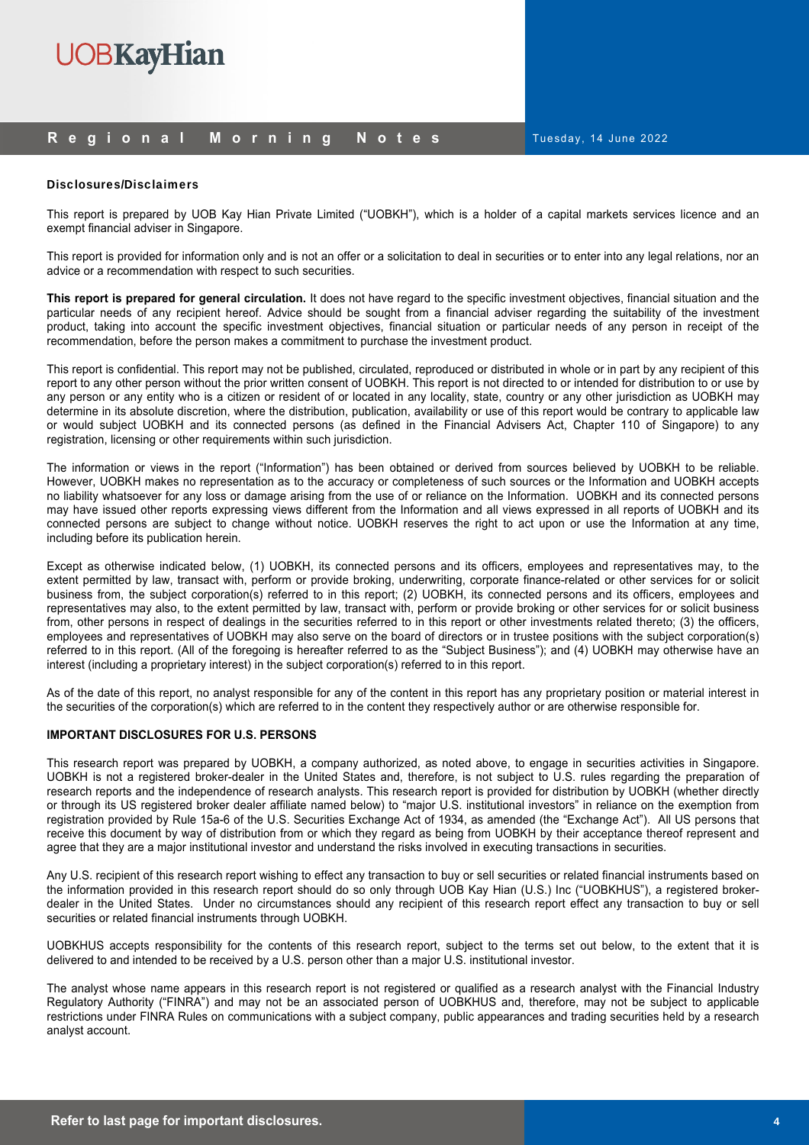

#### **Regional Morning Notes**

Tuesday, 14 June 2022

#### Disclosures/Disclaimers

This report is prepared by UOB Kay Hian Private Limited ("UOBKH"), which is a holder of a capital markets services licence and an exempt financial adviser in Singapore.

This report is provided for information only and is not an offer or a solicitation to deal in securities or to enter into any legal relations, nor an advice or a recommendation with respect to such securities.

**This report is prepared for general circulation.** It does not have regard to the specific investment objectives, financial situation and the particular needs of any recipient hereof. Advice should be sought from a financial adviser regarding the suitability of the investment product, taking into account the specific investment objectives, financial situation or particular needs of any person in receipt of the recommendation, before the person makes a commitment to purchase the investment product.

This report is confidential. This report may not be published, circulated, reproduced or distributed in whole or in part by any recipient of this report to any other person without the prior written consent of UOBKH. This report is not directed to or intended for distribution to or use by any person or any entity who is a citizen or resident of or located in any locality, state, country or any other jurisdiction as UOBKH may determine in its absolute discretion, where the distribution, publication, availability or use of this report would be contrary to applicable law or would subject UOBKH and its connected persons (as defined in the Financial Advisers Act, Chapter 110 of Singapore) to any registration, licensing or other requirements within such jurisdiction.

The information or views in the report ("Information") has been obtained or derived from sources believed by UOBKH to be reliable. However, UOBKH makes no representation as to the accuracy or completeness of such sources or the Information and UOBKH accepts no liability whatsoever for any loss or damage arising from the use of or reliance on the Information. UOBKH and its connected persons may have issued other reports expressing views different from the Information and all views expressed in all reports of UOBKH and its connected persons are subject to change without notice. UOBKH reserves the right to act upon or use the Information at any time, including before its publication herein.

Except as otherwise indicated below, (1) UOBKH, its connected persons and its officers, employees and representatives may, to the extent permitted by law, transact with, perform or provide broking, underwriting, corporate finance-related or other services for or solicit business from, the subject corporation(s) referred to in this report; (2) UOBKH, its connected persons and its officers, employees and representatives may also, to the extent permitted by law, transact with, perform or provide broking or other services for or solicit business from, other persons in respect of dealings in the securities referred to in this report or other investments related thereto; (3) the officers, employees and representatives of UOBKH may also serve on the board of directors or in trustee positions with the subject corporation(s) referred to in this report. (All of the foregoing is hereafter referred to as the "Subject Business"); and (4) UOBKH may otherwise have an interest (including a proprietary interest) in the subject corporation(s) referred to in this report.

As of the date of this report, no analyst responsible for any of the content in this report has any proprietary position or material interest in the securities of the corporation(s) which are referred to in the content they respectively author or are otherwise responsible for.

#### **IMPORTANT DISCLOSURES FOR U.S. PERSONS**

This research report was prepared by UOBKH, a company authorized, as noted above, to engage in securities activities in Singapore. UOBKH is not a registered broker-dealer in the United States and, therefore, is not subject to U.S. rules regarding the preparation of research reports and the independence of research analysts. This research report is provided for distribution by UOBKH (whether directly or through its US registered broker dealer affiliate named below) to "major U.S. institutional investors" in reliance on the exemption from registration provided by Rule 15a-6 of the U.S. Securities Exchange Act of 1934, as amended (the "Exchange Act"). All US persons that receive this document by way of distribution from or which they regard as being from UOBKH by their acceptance thereof represent and agree that they are a major institutional investor and understand the risks involved in executing transactions in securities.

Any U.S. recipient of this research report wishing to effect any transaction to buy or sell securities or related financial instruments based on the information provided in this research report should do so only through UOB Kay Hian (U.S.) Inc ("UOBKHUS"), a registered brokerdealer in the United States. Under no circumstances should any recipient of this research report effect any transaction to buy or sell securities or related financial instruments through UOBKH.

UOBKHUS accepts responsibility for the contents of this research report, subject to the terms set out below, to the extent that it is delivered to and intended to be received by a U.S. person other than a major U.S. institutional investor.

The analyst whose name appears in this research report is not registered or qualified as a research analyst with the Financial Industry Regulatory Authority ("FINRA") and may not be an associated person of UOBKHUS and, therefore, may not be subject to applicable restrictions under FINRA Rules on communications with a subject company, public appearances and trading securities held by a research analyst account.